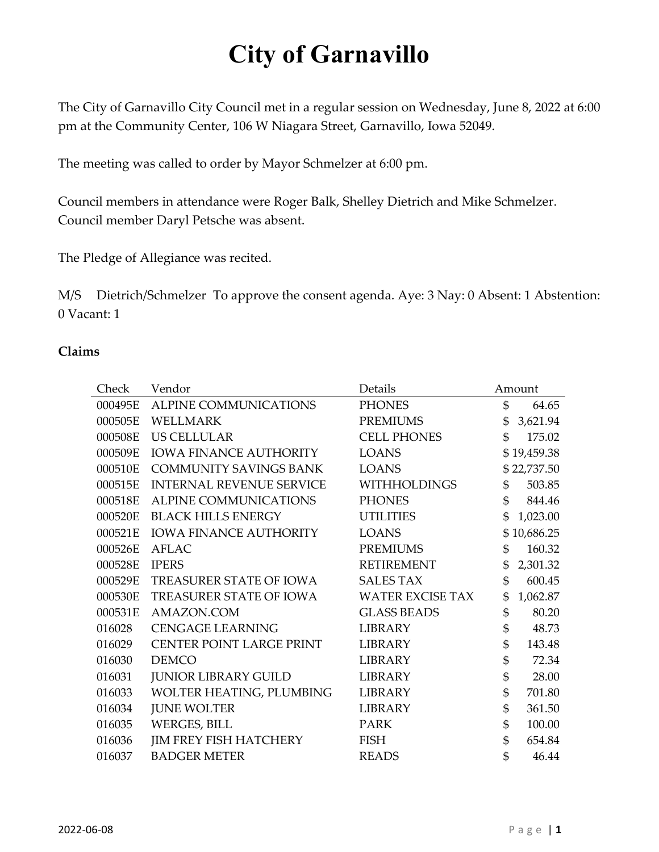The City of Garnavillo City Council met in a regular session on Wednesday, June 8, 2022 at 6:00 pm at the Community Center, 106 W Niagara Street, Garnavillo, Iowa 52049.

The meeting was called to order by Mayor Schmelzer at 6:00 pm.

Council members in attendance were Roger Balk, Shelley Dietrich and Mike Schmelzer. Council member Daryl Petsche was absent.

The Pledge of Allegiance was recited.

M/S Dietrich/Schmelzer To approve the consent agenda. Aye: 3 Nay: 0 Absent: 1 Abstention: 0 Vacant: 1

### **Claims**

| Check   | Vendor                          | Details                 |             | Amount      |
|---------|---------------------------------|-------------------------|-------------|-------------|
| 000495E | ALPINE COMMUNICATIONS           | <b>PHONES</b>           | \$          | 64.65       |
| 000505E | <b>WELLMARK</b>                 | <b>PREMIUMS</b>         | \$          | 3,621.94    |
| 000508E | <b>US CELLULAR</b>              | <b>CELL PHONES</b>      | $\mathbb S$ | 175.02      |
| 000509E | <b>IOWA FINANCE AUTHORITY</b>   | <b>LOANS</b>            |             | \$19,459.38 |
| 000510E | <b>COMMUNITY SAVINGS BANK</b>   | <b>LOANS</b>            |             | \$22,737.50 |
| 000515E | <b>INTERNAL REVENUE SERVICE</b> | <b>WITHHOLDINGS</b>     | \$          | 503.85      |
| 000518E | <b>ALPINE COMMUNICATIONS</b>    | <b>PHONES</b>           | \$          | 844.46      |
| 000520E | <b>BLACK HILLS ENERGY</b>       | <b>UTILITIES</b>        | \$          | 1,023.00    |
| 000521E | <b>IOWA FINANCE AUTHORITY</b>   | <b>LOANS</b>            |             | \$10,686.25 |
| 000526E | AFLAC                           | <b>PREMIUMS</b>         | \$          | 160.32      |
| 000528E | <b>IPERS</b>                    | <b>RETIREMENT</b>       | \$          | 2,301.32    |
| 000529E | TREASURER STATE OF IOWA         | <b>SALES TAX</b>        | \$          | 600.45      |
| 000530E | TREASURER STATE OF IOWA         | <b>WATER EXCISE TAX</b> | \$          | 1,062.87    |
| 000531E | AMAZON.COM                      | <b>GLASS BEADS</b>      | \$          | 80.20       |
| 016028  | <b>CENGAGE LEARNING</b>         | <b>LIBRARY</b>          | \$          | 48.73       |
| 016029  | CENTER POINT LARGE PRINT        | <b>LIBRARY</b>          | \$          | 143.48      |
| 016030  | <b>DEMCO</b>                    | <b>LIBRARY</b>          | \$          | 72.34       |
| 016031  | <b>JUNIOR LIBRARY GUILD</b>     | <b>LIBRARY</b>          | \$          | 28.00       |
| 016033  | WOLTER HEATING, PLUMBING        | <b>LIBRARY</b>          | \$          | 701.80      |
| 016034  | <b>JUNE WOLTER</b>              | <b>LIBRARY</b>          | \$          | 361.50      |
| 016035  | <b>WERGES, BILL</b>             | <b>PARK</b>             | \$          | 100.00      |
| 016036  | <b>JIM FREY FISH HATCHERY</b>   | FISH                    | \$          | 654.84      |
| 016037  | <b>BADGER METER</b>             | <b>READS</b>            | \$          | 46.44       |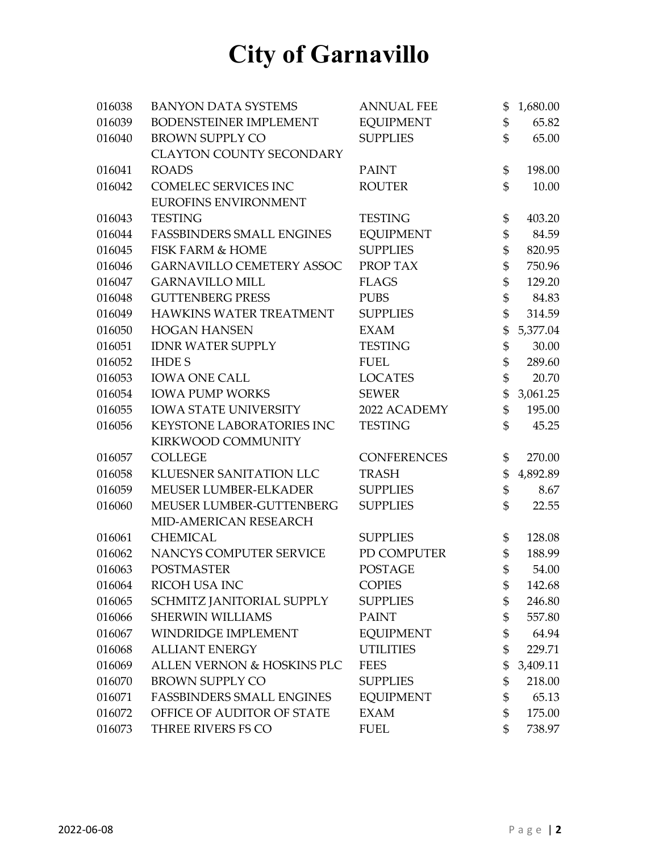| 016038 | <b>BANYON DATA SYSTEMS</b>       | <b>ANNUAL FEE</b>  | \$<br>1,680.00 |
|--------|----------------------------------|--------------------|----------------|
| 016039 | BODENSTEINER IMPLEMENT           | <b>EQUIPMENT</b>   | \$<br>65.82    |
| 016040 | <b>BROWN SUPPLY CO</b>           | <b>SUPPLIES</b>    | \$<br>65.00    |
|        | <b>CLAYTON COUNTY SECONDARY</b>  |                    |                |
| 016041 | <b>ROADS</b>                     | <b>PAINT</b>       | \$<br>198.00   |
| 016042 | <b>COMELEC SERVICES INC</b>      | <b>ROUTER</b>      | \$<br>10.00    |
|        | EUROFINS ENVIRONMENT             |                    |                |
| 016043 | <b>TESTING</b>                   | <b>TESTING</b>     | \$<br>403.20   |
| 016044 | <b>FASSBINDERS SMALL ENGINES</b> | <b>EQUIPMENT</b>   | \$<br>84.59    |
| 016045 | <b>FISK FARM &amp; HOME</b>      | <b>SUPPLIES</b>    | \$<br>820.95   |
| 016046 | <b>GARNAVILLO CEMETERY ASSOC</b> | PROP TAX           | \$<br>750.96   |
| 016047 | <b>GARNAVILLO MILL</b>           | <b>FLAGS</b>       | \$<br>129.20   |
| 016048 | <b>GUTTENBERG PRESS</b>          | <b>PUBS</b>        | \$<br>84.83    |
| 016049 | HAWKINS WATER TREATMENT          | <b>SUPPLIES</b>    | \$<br>314.59   |
| 016050 | <b>HOGAN HANSEN</b>              | <b>EXAM</b>        | \$<br>5,377.04 |
| 016051 | <b>IDNR WATER SUPPLY</b>         | <b>TESTING</b>     | \$<br>30.00    |
| 016052 | <b>IHDES</b>                     | <b>FUEL</b>        | \$<br>289.60   |
| 016053 | <b>IOWA ONE CALL</b>             | <b>LOCATES</b>     | \$<br>20.70    |
| 016054 | <b>IOWA PUMP WORKS</b>           | <b>SEWER</b>       | \$<br>3,061.25 |
| 016055 | <b>IOWA STATE UNIVERSITY</b>     | 2022 ACADEMY       | \$<br>195.00   |
| 016056 | KEYSTONE LABORATORIES INC        | <b>TESTING</b>     | \$<br>45.25    |
|        | KIRKWOOD COMMUNITY               |                    |                |
| 016057 | <b>COLLEGE</b>                   | <b>CONFERENCES</b> | \$<br>270.00   |
| 016058 | KLUESNER SANITATION LLC          | <b>TRASH</b>       | \$<br>4,892.89 |
| 016059 | MEUSER LUMBER-ELKADER            | <b>SUPPLIES</b>    | \$<br>8.67     |
| 016060 | MEUSER LUMBER-GUTTENBERG         | <b>SUPPLIES</b>    | \$<br>22.55    |
|        | MID-AMERICAN RESEARCH            |                    |                |
| 016061 | <b>CHEMICAL</b>                  | <b>SUPPLIES</b>    | \$<br>128.08   |
| 016062 | NANCYS COMPUTER SERVICE          | PD COMPUTER        | \$<br>188.99   |
| 016063 | <b>POSTMASTER</b>                | <b>POSTAGE</b>     | \$<br>54.00    |
| 016064 | RICOH USA INC                    | <b>COPIES</b>      | \$<br>142.68   |
| 016065 | SCHMITZ JANITORIAL SUPPLY        | <b>SUPPLIES</b>    | \$<br>246.80   |
| 016066 | <b>SHERWIN WILLIAMS</b>          | <b>PAINT</b>       | \$<br>557.80   |
| 016067 | WINDRIDGE IMPLEMENT              | <b>EQUIPMENT</b>   | \$<br>64.94    |
| 016068 | <b>ALLIANT ENERGY</b>            | <b>UTILITIES</b>   | \$<br>229.71   |
| 016069 | ALLEN VERNON & HOSKINS PLC       | <b>FEES</b>        | \$<br>3,409.11 |
| 016070 | <b>BROWN SUPPLY CO</b>           | <b>SUPPLIES</b>    | \$<br>218.00   |
| 016071 | <b>FASSBINDERS SMALL ENGINES</b> | <b>EQUIPMENT</b>   | \$<br>65.13    |
| 016072 | OFFICE OF AUDITOR OF STATE       | <b>EXAM</b>        | \$<br>175.00   |
| 016073 | THREE RIVERS FS CO               | <b>FUEL</b>        | \$<br>738.97   |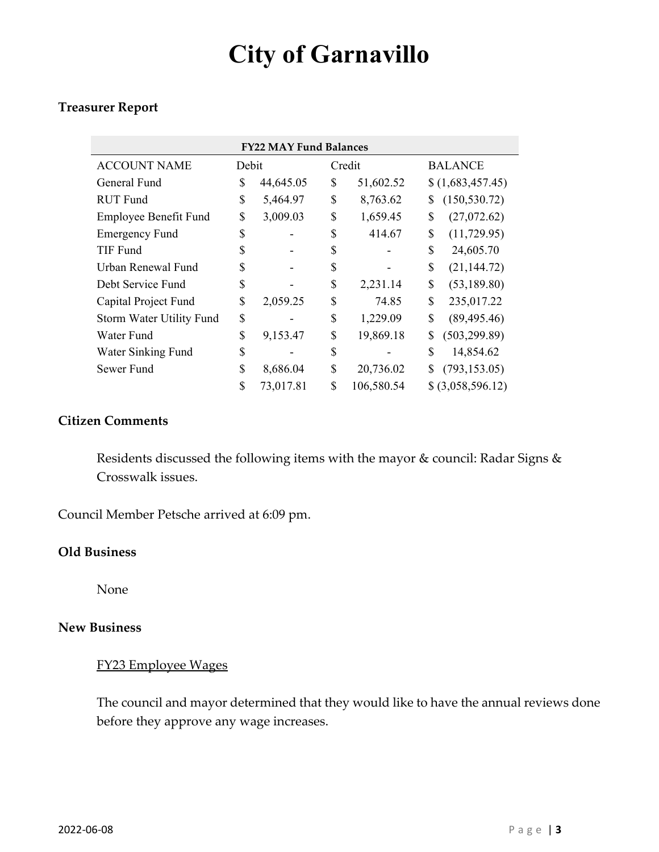### **Treasurer Report**

| <b>FY22 MAY Fund Balances</b> |       |           |    |            |              |                   |  |  |
|-------------------------------|-------|-----------|----|------------|--------------|-------------------|--|--|
| <b>ACCOUNT NAME</b>           | Debit |           |    | Credit     |              | <b>BALANCE</b>    |  |  |
| General Fund                  | \$    | 44,645.05 | \$ | 51,602.52  |              | \$(1,683,457.45)  |  |  |
| <b>RUT</b> Fund               | \$    | 5,464.97  | \$ | 8,763.62   | \$           | (150, 530.72)     |  |  |
| Employee Benefit Fund         | \$    | 3,009.03  | \$ | 1,659.45   | \$           | (27,072.62)       |  |  |
| <b>Emergency Fund</b>         | \$    |           | \$ | 414.67     | \$           | (11, 729.95)      |  |  |
| TIF Fund                      | \$    |           | \$ |            | \$           | 24,605.70         |  |  |
| Urban Renewal Fund            | \$    |           | \$ |            | \$           | (21, 144.72)      |  |  |
| Debt Service Fund             | \$    |           | \$ | 2,231.14   | \$           | (53, 189.80)      |  |  |
| Capital Project Fund          |       | 2,059.25  | \$ | 74.85      | \$           | 235,017.22        |  |  |
| Storm Water Utility Fund      | \$    |           | \$ | 1,229.09   | \$           | (89, 495.46)      |  |  |
| Water Fund                    | \$    | 9,153.47  | \$ | 19,869.18  | \$           | (503, 299.89)     |  |  |
| Water Sinking Fund            | \$    |           | \$ |            | $\mathbb{S}$ | 14,854.62         |  |  |
| Sewer Fund                    | \$    | 8,686.04  | \$ | 20,736.02  | \$           | (793, 153.05)     |  |  |
|                               | \$    | 73,017.81 | \$ | 106,580.54 |              | \$ (3,058,596.12) |  |  |

### **Citizen Comments**

Residents discussed the following items with the mayor & council: Radar Signs & Crosswalk issues.

Council Member Petsche arrived at 6:09 pm.

### **Old Business**

None

#### **New Business**

### FY23 Employee Wages

The council and mayor determined that they would like to have the annual reviews done before they approve any wage increases.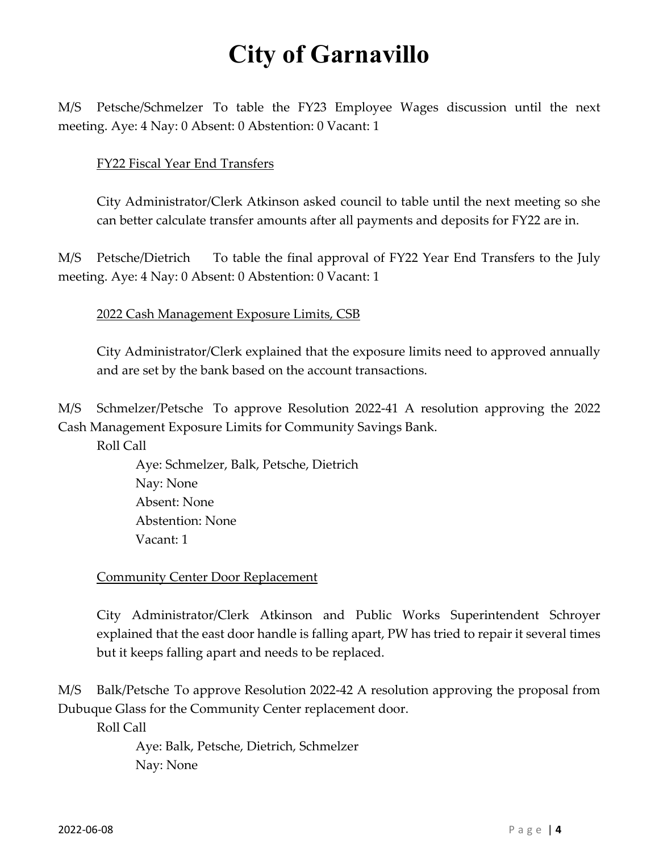M/S Petsche/Schmelzer To table the FY23 Employee Wages discussion until the next meeting. Aye: 4 Nay: 0 Absent: 0 Abstention: 0 Vacant: 1

### FY22 Fiscal Year End Transfers

City Administrator/Clerk Atkinson asked council to table until the next meeting so she can better calculate transfer amounts after all payments and deposits for FY22 are in.

M/S Petsche/Dietrich To table the final approval of FY22 Year End Transfers to the July meeting. Aye: 4 Nay: 0 Absent: 0 Abstention: 0 Vacant: 1

2022 Cash Management Exposure Limits, CSB

City Administrator/Clerk explained that the exposure limits need to approved annually and are set by the bank based on the account transactions.

M/S Schmelzer/Petsche To approve Resolution 2022-41 A resolution approving the 2022 Cash Management Exposure Limits for Community Savings Bank.

Roll Call

Aye: Schmelzer, Balk, Petsche, Dietrich Nay: None Absent: None Abstention: None Vacant: 1

**Community Center Door Replacement** 

City Administrator/Clerk Atkinson and Public Works Superintendent Schroyer explained that the east door handle is falling apart, PW has tried to repair it several times but it keeps falling apart and needs to be replaced.

M/S Balk/Petsche To approve Resolution 2022-42 A resolution approving the proposal from Dubuque Glass for the Community Center replacement door.

Roll Call

 Aye: Balk, Petsche, Dietrich, Schmelzer Nay: None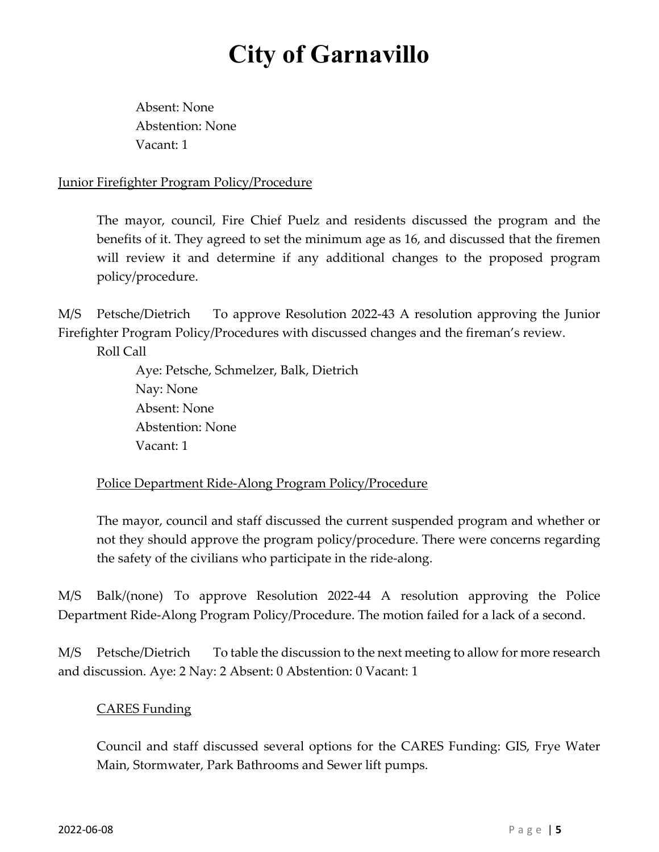Absent: None Abstention: None Vacant: 1

## Junior Firefighter Program Policy/Procedure

The mayor, council, Fire Chief Puelz and residents discussed the program and the benefits of it. They agreed to set the minimum age as 16, and discussed that the firemen will review it and determine if any additional changes to the proposed program policy/procedure.

M/S Petsche/Dietrich To approve Resolution 2022-43 A resolution approving the Junior Firefighter Program Policy/Procedures with discussed changes and the fireman's review.

Roll Call

 Aye: Petsche, Schmelzer, Balk, Dietrich Nay: None Absent: None Abstention: None Vacant: 1

## Police Department Ride-Along Program Policy/Procedure

The mayor, council and staff discussed the current suspended program and whether or not they should approve the program policy/procedure. There were concerns regarding the safety of the civilians who participate in the ride-along.

M/S Balk/(none) To approve Resolution 2022-44 A resolution approving the Police Department Ride-Along Program Policy/Procedure. The motion failed for a lack of a second.

M/S Petsche/Dietrich To table the discussion to the next meeting to allow for more research and discussion. Aye: 2 Nay: 2 Absent: 0 Abstention: 0 Vacant: 1

## CARES Funding

Council and staff discussed several options for the CARES Funding: GIS, Frye Water Main, Stormwater, Park Bathrooms and Sewer lift pumps.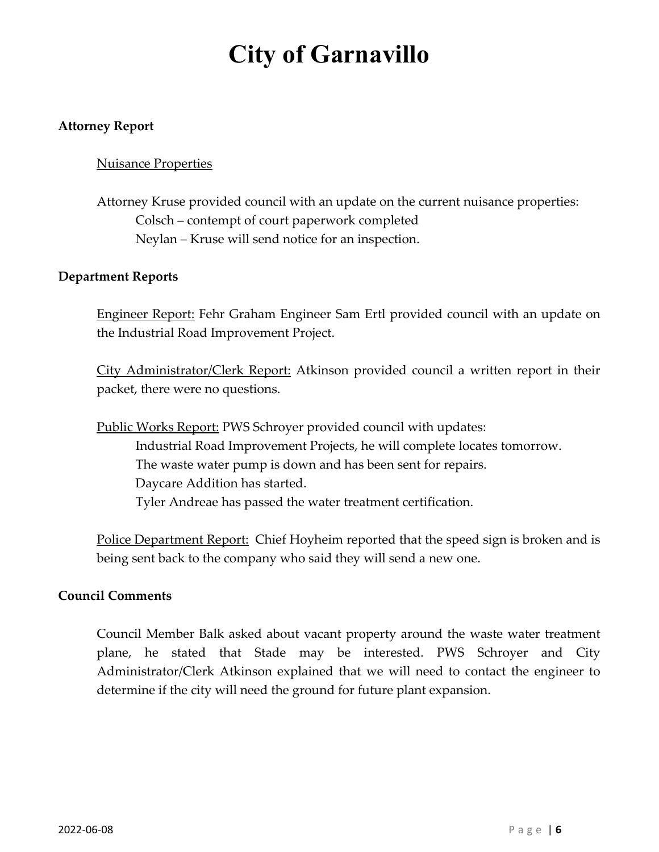### **Attorney Report**

#### Nuisance Properties

## Attorney Kruse provided council with an update on the current nuisance properties: Colsch – contempt of court paperwork completed Neylan – Kruse will send notice for an inspection.

#### **Department Reports**

Engineer Report: Fehr Graham Engineer Sam Ertl provided council with an update on the Industrial Road Improvement Project.

City Administrator/Clerk Report: Atkinson provided council a written report in their packet, there were no questions.

Public Works Report: PWS Schroyer provided council with updates: Industrial Road Improvement Projects, he will complete locates tomorrow. The waste water pump is down and has been sent for repairs. Daycare Addition has started. Tyler Andreae has passed the water treatment certification.

Police Department Report: Chief Hoyheim reported that the speed sign is broken and is being sent back to the company who said they will send a new one.

#### **Council Comments**

Council Member Balk asked about vacant property around the waste water treatment plane, he stated that Stade may be interested. PWS Schroyer and City Administrator/Clerk Atkinson explained that we will need to contact the engineer to determine if the city will need the ground for future plant expansion.